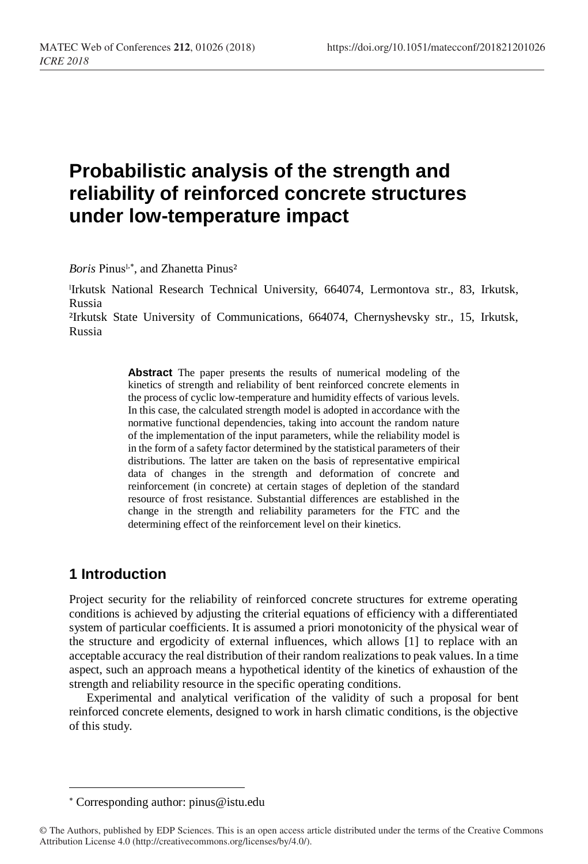# **Probabilistic analysis of the strength and reliability of reinforced concrete structures under low-temperature impact**

Boris Pinus<sup>1,\*</sup>, and Zhanetta Pinus<sup>2</sup>

ˡIrkutsk National Research Technical University, 664074, Lermontova str., 83, Irkutsk, Russia ²Irkutsk State University of Communications, 664074, Chernyshevsky str., 15, Irkutsk, Russia

> **Abstract** The paper presents the results of numerical modeling of the kinetics of strength and reliability of bent reinforced concrete elements in the process of cyclic low-temperature and humidity effects of various levels. In this case, the calculated strength model is adopted in accordance with the normative functional dependencies, taking into account the random nature of the implementation of the input parameters, while the reliability model is in the form of a safety factor determined by the statistical parameters of their distributions. The latter are taken on the basis of representative empirical data of changes in the strength and deformation of concrete and reinforcement (in concrete) at certain stages of depletion of the standard resource of frost resistance. Substantial differences are established in the change in the strength and reliability parameters for the FTC and the determining effect of the reinforcement level on their kinetics.

## **1 Introduction**

l

Project security for the reliability of reinforced concrete structures for extreme operating conditions is achieved by adjusting the criterial equations of efficiency with a differentiated system of particular coefficients. It is assumed a priori monotonicity of the physical wear of the structure and ergodicity of external influences, which allows [1] to replace with an acceptable accuracy the real distribution of their random realizations to peak values. In a time aspect, such an approach means a hypothetical identity of the kinetics of exhaustion of the strength and reliability resource in the specific operating conditions.

Experimental and analytical verification of the validity of such a proposal for bent reinforced concrete elements, designed to work in harsh climatic conditions, is the objective of this study.

Corresponding author: [pinus@istu.edu](mailto:pinus@istu.edu)

<sup>©</sup> The Authors, published by EDP Sciences. This is an open access article distributed under the terms of the Creative Commons Attribution License 4.0 (http://creativecommons.org/licenses/by/4.0/).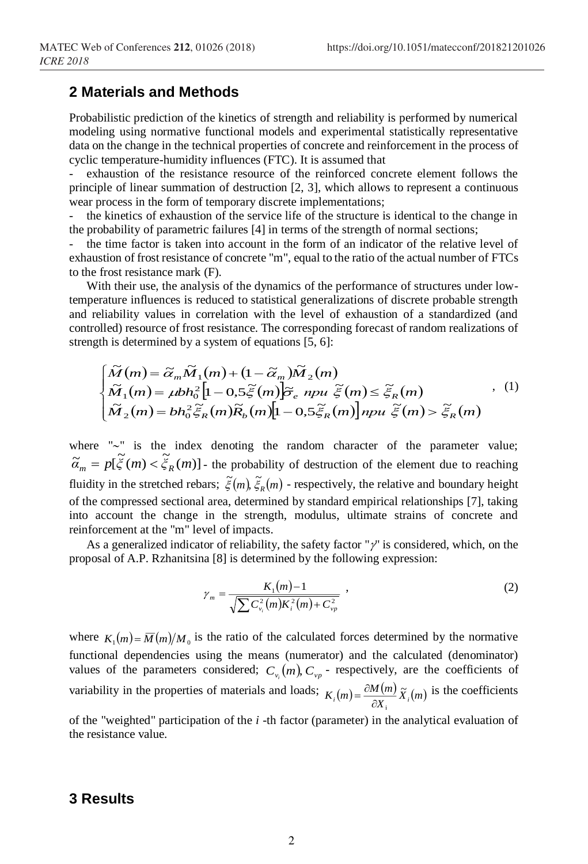### **2 Materials and Methods**

Probabilistic prediction of the kinetics of strength and reliability is performed by numerical modeling using normative functional models and experimental statistically representative data on the change in the technical properties of concrete and reinforcement in the process of cyclic temperature-humidity influences (FTC). It is assumed that

exhaustion of the resistance resource of the reinforced concrete element follows the principle of linear summation of destruction [2, 3], which allows to represent a continuous wear process in the form of temporary discrete implementations;

- the kinetics of exhaustion of the service life of the structure is identical to the change in the probability of parametric failures [4] in terms of the strength of normal sections;

the time factor is taken into account in the form of an indicator of the relative level of exhaustion of frost resistance of concrete "m", equal to the ratio of the actual number of FTCs to the frost resistance mark (F).

With their use, the analysis of the dynamics of the performance of structures under lowtemperature influences is reduced to statistical generalizations of discrete probable strength and reliability values in correlation with the level of exhaustion of a standardized (and controlled) resource of frost resistance. The corresponding forecast of random realizations of strength is determined by a system of equations [5, 6]:

$$
\begin{cases}\n\widetilde{M}(m) = \widetilde{\alpha}_m \widetilde{M}_1(m) + (1 - \widetilde{\alpha}_m) \widetilde{M}_2(m) \\
\widetilde{M}_1(m) = \mu b h_0^2 \left[ 1 - 0, 5\widetilde{\xi}(m) \right] \widetilde{\sigma}_e \ n p u \ \widetilde{\xi}(m) \le \widetilde{\xi}_R(m)\n\end{cases} , \quad (1)
$$
\n
$$
\widetilde{M}_2(m) = b h_0^2 \widetilde{\xi}_R(m) \widetilde{R}_b(m) \left[ 1 - 0, 5\widetilde{\xi}_R(m) \right] n p u \ \widetilde{\xi}(m) > \widetilde{\xi}_R(m)
$$

where " $\sim$ " is the index denoting the random character of the parameter value;  $\tilde{\alpha}_m = p[\tilde{\xi}(m) < \tilde{\xi}_R(m)]$  - the probability of destruction of the element due to reaching fluidity in the stretched rebars;  $\tilde{\xi}(m)$ ,  $\tilde{\xi}_R(m)$  $(\tilde{\xi}(m), \tilde{\xi}_R(m))$  - respectively, the relative and boundary height of the compressed sectional area, determined by standard empirical relationships [7], taking into account the change in the strength, modulus, ultimate strains of concrete and reinforcement at the "m" level of impacts.

As a generalized indicator of reliability, the safety factor " $\gamma$ " is considered, which, on the proposal of A.P. Rzhanitsina [8] is determined by the following expression:

$$
\gamma_m = \frac{K_1(m) - 1}{\sqrt{\sum C_{\nu_i}^2(m)K_i^2(m) + C_{\nu_p}^2}} \tag{2}
$$

where  $K_1(m) = \overline{M}(m)/M_0$  is the ratio of the calculated forces determined by the normative functional dependencies using the means (numerator) and the calculated (denominator) values of the parameters considered;  $C_{v_i}(m)$ ,  $C_{vp}$  - respectively, are the coefficients of variability in the properties of materials and loads;  $K_i(m) = \frac{\partial M(m)}{\partial X} \tilde{X}_i(m)$  $K_i(m) = \frac{\partial M(m)}{\partial X_i} \widetilde{X}_i$  $=\frac{\partial M(m)}{\partial \tilde{X}_i(m)}$  is the coefficients

of the "weighted" participation of the *i* -th factor (parameter) in the analytical evaluation of the resistance value.

#### **3 Results**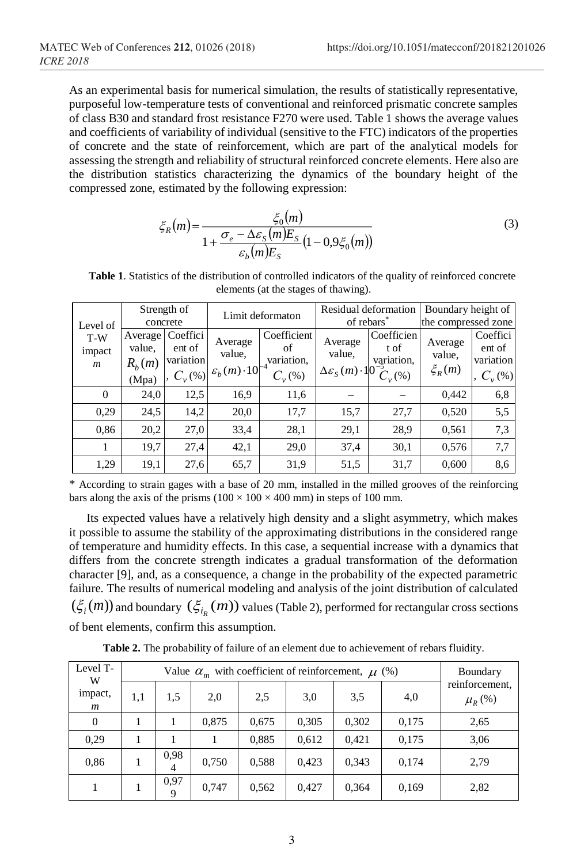As an experimental basis for numerical simulation, the results of statistically representative, purposeful low-temperature tests of conventional and reinforced prismatic concrete samples of class B30 and standard frost resistance F270 were used. Table 1 shows the average values and coefficients of variability of individual (sensitive to the FTC) indicators of the properties of concrete and the state of reinforcement, which are part of the analytical models for assessing the strength and reliability of structural reinforced concrete elements. Here also are the distribution statistics characterizing the dynamics of the boundary height of the compressed zone, estimated by the following expression:

$$
\xi_R(m) = \frac{\xi_0(m)}{1 + \frac{\sigma_e - \Delta \varepsilon_S(m) E_S}{\varepsilon_b(m) E_S} \left(1 - 0.9 \xi_0(m)\right)}\tag{3}
$$

|                  | Strength of                   |          | Limit deformaton                          |              | Residual deformation                |            | Boundary height of  |              |
|------------------|-------------------------------|----------|-------------------------------------------|--------------|-------------------------------------|------------|---------------------|--------------|
| Level of<br>T-W  |                               | concrete |                                           |              | of rebars*                          |            | the compressed zone |              |
|                  | Average                       | Coeffici | Average                                   | Coefficient  | Average                             | Coefficien | Average             | Coeffici     |
| impact           | ent of<br>value,<br>variation | value,   | variation,                                | of<br>value, | t of<br>variation,                  | value,     | ent of<br>variation |              |
| $\boldsymbol{m}$ | $R_h(m)$                      |          | $C_{v}(%) \varepsilon_{b}(m)\cdot 10^{4}$ | $C_{v}(%)$   | $\Delta\varepsilon_{S}(m) \cdot 10$ |            | $\xi_R(m)$          |              |
|                  | (Mpa)                         |          |                                           |              |                                     | $C_{v}(%)$ |                     | , $C_{v}(%)$ |
| $\overline{0}$   | 24,0                          | 12,5     | 16.9                                      | 11,6         |                                     |            | 0,442               | 6,8          |
| 0.29             | 24,5                          | 14,2     | 20,0                                      | 17,7         | 15,7                                | 27,7       | 0,520               | 5,5          |
| 0,86             | 20,2                          | 27,0     | 33,4                                      | 28,1         | 29,1                                | 28,9       | 0,561               | 7,3          |
|                  | 19,7                          | 27,4     | 42,1                                      | 29,0         | 37,4                                | 30,1       | 0,576               | 7,7          |
| 1,29             | 19,1                          | 27,6     | 65,7                                      | 31,9         | 51,5                                | 31,7       | 0,600               | 8,6          |

**Table 1**. Statistics of the distribution of controlled indicators of the quality of reinforced concrete elements (at the stages of thawing).

\* According to strain gages with a base of 20 mm, installed in the milled grooves of the reinforcing bars along the axis of the prisms  $(100 \times 100 \times 400 \text{ mm})$  in steps of 100 mm.

Its expected values have a relatively high density and a slight asymmetry, which makes it possible to assume the stability of the approximating distributions in the considered range of temperature and humidity effects. In this case, a sequential increase with a dynamics that differs from the concrete strength indicates a gradual transformation of the deformation character [9], and, as a consequence, a change in the probability of the expected parametric failure. The results of numerical modeling and analysis of the joint distribution of calculated  $(\xi_i(m))$  and boundary  $(\xi_{i_R}(m))$  values (Table 2), performed for rectangular cross sections of bent elements, confirm this assumption.

**Table 2.** The probability of failure of an element due to achievement of rebars fluidity.

| Level T-<br>W             |     | Boundary  |       |       |       |       |       |                               |
|---------------------------|-----|-----------|-------|-------|-------|-------|-------|-------------------------------|
| impact,<br>$\mathfrak{m}$ | 1,1 | 1,5       | 2,0   | 2,5   | 3,0   | 3,5   | 4,0   | reinforcement,<br>$\mu_R$ (%) |
| $\theta$                  |     |           | 0,875 | 0,675 | 0,305 | 0,302 | 0,175 | 2,65                          |
| 0,29                      |     |           |       | 0,885 | 0,612 | 0,421 | 0,175 | 3,06                          |
| 0,86                      |     | 0.98<br>4 | 0,750 | 0,588 | 0.423 | 0,343 | 0,174 | 2,79                          |
|                           |     | 0,97<br>9 | 0,747 | 0,562 | 0,427 | 0,364 | 0,169 | 2,82                          |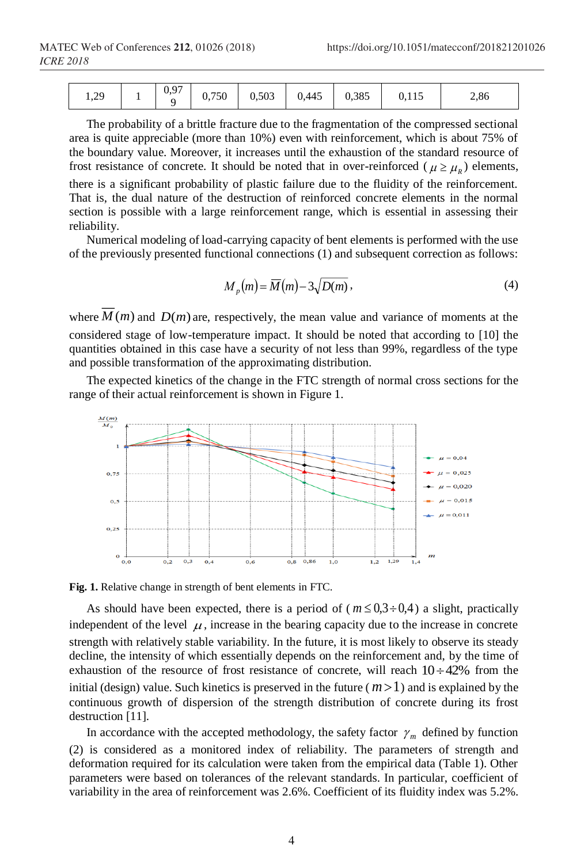| 1,29 | 0,97 |  | $0,750$ 0.503 0.445 0.385 | 0,115 | 2,86 |
|------|------|--|---------------------------|-------|------|

The probability of a brittle fracture due to the fragmentation of the compressed sectional area is quite appreciable (more than 10%) even with reinforcement, which is about 75% of the boundary value. Moreover, it increases until the exhaustion of the standard resource of frost resistance of concrete. It should be noted that in over-reinforced ( $\mu \ge \mu_R$ ) elements, there is a significant probability of plastic failure due to the fluidity of the reinforcement. That is, the dual nature of the destruction of reinforced concrete elements in the normal section is possible with a large reinforcement range, which is essential in assessing their reliability.

Numerical modeling of load-carrying capacity of bent elements is performed with the use of the previously presented functional connections (1) and subsequent correction as follows:

$$
M_p(m) = \overline{M}(m) - 3\sqrt{D(m)},
$$
\n(4)

where  $M(m)$  and  $D(m)$  are, respectively, the mean value and variance of moments at the considered stage of low-temperature impact. It should be noted that according to [10] the quantities obtained in this case have a security of not less than 99%, regardless of the type and possible transformation of the approximating distribution.

The expected kinetics of the change in the FTC strength of normal cross sections for the range of their actual reinforcement is shown in Figure 1.



**Fig. 1.** Relative change in strength of bent elements in FTC.

As should have been expected, there is a period of  $(m \le 0, 3 \div 0, 4)$  a slight, practically independent of the level  $\mu$ , increase in the bearing capacity due to the increase in concrete strength with relatively stable variability. In the future, it is most likely to observe its steady decline, the intensity of which essentially depends on the reinforcement and, by the time of exhaustion of the resource of frost resistance of concrete, will reach  $10 \div 42\%$  from the initial (design) value. Such kinetics is preserved in the future  $(m>1)$  and is explained by the continuous growth of dispersion of the strength distribution of concrete during its frost destruction [11].

In accordance with the accepted methodology, the safety factor  $\gamma_m$  defined by function (2) is considered as a monitored index of reliability. The parameters of strength and deformation required for its calculation were taken from the empirical data (Table 1). Other parameters were based on tolerances of the relevant standards. In particular, coefficient of variability in the area of reinforcement was 2.6%. Coefficient of its fluidity index was 5.2%.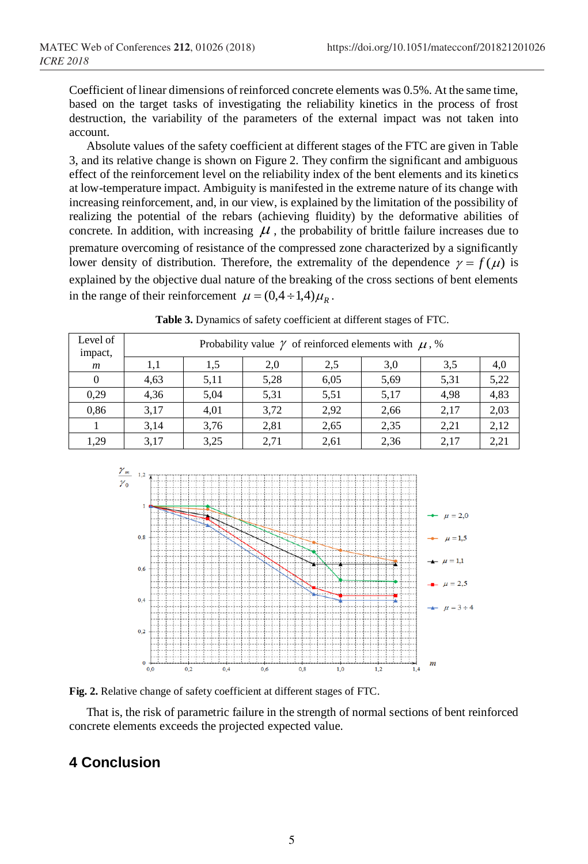Coefficient of linear dimensions of reinforced concrete elements was 0.5%. At the same time, based on the target tasks of investigating the reliability kinetics in the process of frost destruction, the variability of the parameters of the external impact was not taken into account.

Absolute values of the safety coefficient at different stages of the FTC are given in Table 3, and its relative change is shown on Figure 2. They confirm the significant and ambiguous effect of the reinforcement level on the reliability index of the bent elements and its kinetics at low-temperature impact. Ambiguity is manifested in the extreme nature of its change with increasing reinforcement, and, in our view, is explained by the limitation of the possibility of realizing the potential of the rebars (achieving fluidity) by the deformative abilities of concrete. In addition, with increasing  $\mu$ , the probability of brittle failure increases due to premature overcoming of resistance of the compressed zone characterized by a significantly lower density of distribution. Therefore, the extremality of the dependence  $\gamma = f(\mu)$  is explained by the objective dual nature of the breaking of the cross sections of bent elements in the range of their reinforcement  $\mu = (0,4 \div 1,4)\mu_R$ .

| Level of<br>impact, | Probability value $\gamma$ of reinforced elements with $\mu$ , % |      |      |      |      |      |      |  |  |  |  |
|---------------------|------------------------------------------------------------------|------|------|------|------|------|------|--|--|--|--|
| $\boldsymbol{m}$    |                                                                  | 1.5  | 2,0  | 2,5  | 3,0  | 3.5  | 4,0  |  |  |  |  |
| $\theta$            | 4,63                                                             | 5,11 | 5,28 | 6,05 | 5,69 | 5,31 | 5,22 |  |  |  |  |
| 0.29                | 4,36                                                             | 5,04 | 5,31 | 5,51 | 5,17 | 4,98 | 4,83 |  |  |  |  |
| 0.86                | 3,17                                                             | 4,01 | 3,72 | 2,92 | 2,66 | 2.17 | 2,03 |  |  |  |  |
|                     | 3,14                                                             | 3,76 | 2,81 | 2,65 | 2,35 | 2,21 | 2,12 |  |  |  |  |
| 1,29                | 3,17                                                             | 3,25 | 2,71 | 2,61 | 2,36 | 2,17 | 2.21 |  |  |  |  |

**Table 3.** Dynamics of safety coefficient at different stages of FTC.





That is, the risk of parametric failure in the strength of normal sections of bent reinforced concrete elements exceeds the projected expected value.

## **4 Conclusion**